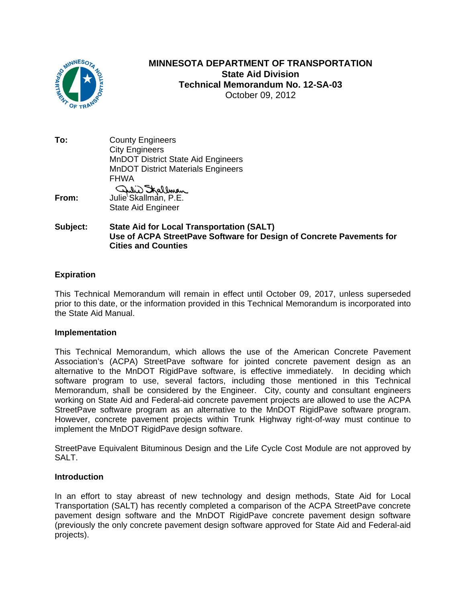

# **MINNESOTA DEPARTMENT OF TRANSPORTATION State Aid Division Technical Memorandum No. 12-SA-03**  October 09, 2012

**To:** County Engineers City Engineers MnDOT District State Aid Engineers MnDOT District Materials Engineers FHWA **From:** Julie Skallman, P.E. State Aid Engineer

# **Subject: State Aid for Local Transportation (SALT) Use of ACPA StreetPave Software for Design of Concrete Pavements for Cities and Counties**

# **Expiration**

This Technical Memorandum will remain in effect until October 09, 2017, unless superseded prior to this date, or the information provided in this Technical Memorandum is incorporated into the State Aid Manual.

## **Implementation**

This Technical Memorandum, which allows the use of the American Concrete Pavement Association's (ACPA) StreetPave software for jointed concrete pavement design as an alternative to the MnDOT RigidPave software, is effective immediately. In deciding which software program to use, several factors, including those mentioned in this Technical Memorandum, shall be considered by the Engineer. City, county and consultant engineers working on State Aid and Federal-aid concrete pavement projects are allowed to use the ACPA StreetPave software program as an alternative to the MnDOT RigidPave software program. However, concrete pavement projects within Trunk Highway right-of-way must continue to implement the MnDOT RigidPave design software.

StreetPave Equivalent Bituminous Design and the Life Cycle Cost Module are not approved by SALT.

## **Introduction**

In an effort to stay abreast of new technology and design methods, State Aid for Local Transportation (SALT) has recently completed a comparison of the ACPA StreetPave concrete pavement design software and the MnDOT RigidPave concrete pavement design software (previously the only concrete pavement design software approved for State Aid and Federal-aid projects).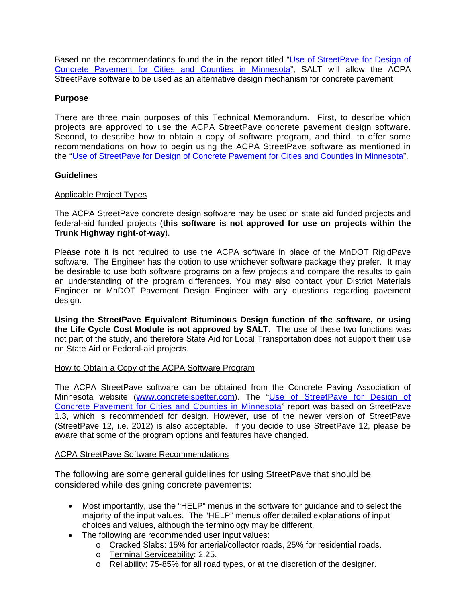Based on the recommendations found the in the report titled "[Use of StreetPave for Design of](http://www.dot.state.mn.us/research/documents/201210.pdf) [Concrete Pavement for Cities and Counties in Minnesota"](http://www.dot.state.mn.us/research/documents/201210.pdf), SALT will allow the ACPA StreetPave software to be used as an alternative design mechanism for concrete pavement.

# **Purpose**

There are three main purposes of this Technical Memorandum. First, to describe which projects are approved to use the ACPA StreetPave concrete pavement design software. Second, to describe how to obtain a copy of software program, and third, to offer some recommendations on how to begin using the ACPA StreetPave software as mentioned in the "[Use of StreetPave for Design of Concrete Pavement for Cities and Counties in Minnesota"](http://www.dot.state.mn.us/research/documents/201210.pdf).

## **Guidelines**

## Applicable Project Types

The ACPA StreetPave concrete design software may be used on state aid funded projects and federal-aid funded projects (**this software is not approved for use on projects within the Trunk Highway right-of-way**).

Please note it is not required to use the ACPA software in place of the MnDOT RigidPave software. The Engineer has the option to use whichever software package they prefer. It may be desirable to use both software programs on a few projects and compare the results to gain an understanding of the program differences. You may also contact your District Materials Engineer or MnDOT Pavement Design Engineer with any questions regarding pavement design.

**Using the StreetPave Equivalent Bituminous Design function of the software, or using the Life Cycle Cost Module is not approved by SALT**. The use of these two functions was not part of the study, and therefore State Aid for Local Transportation does not support their use on State Aid or Federal-aid projects.

## How to Obtain a Copy of the ACPA Software Program

The ACPA StreetPave software can be obtained from the Concrete Paving Association of Minnesota website (www.concreteisbetter.com). The "[Use of StreetPave for Design of](http://www.dot.state.mn.us/research/documents/201210.pdf) [Concrete Pavement for Cities and Counties in Minnesota](http://www.dot.state.mn.us/research/documents/201210.pdf)" report was based on StreetPave 1.3, which is recommended for design. However, use of the newer version of StreetPave (StreetPave 12, i.e. 2012) is also acceptable. If you decide to use StreetPave 12, please be aware that some of the program options and features have changed.

## ACPA StreetPave Software Recommendations

The following are some general guidelines for using StreetPave that should be considered while designing concrete pavements:

- Most importantly, use the "HELP" menus in the software for guidance and to select the majority of the input values. The "HELP" menus offer detailed explanations of input choices and values, although the terminology may be different.
- The following are recommended user input values:
	- o Cracked Slabs: 15% for arterial/collector roads, 25% for residential roads.
	- o Terminal Serviceability: 2.25.
	- o Reliability: 75-85% for all road types, or at the discretion of the designer.